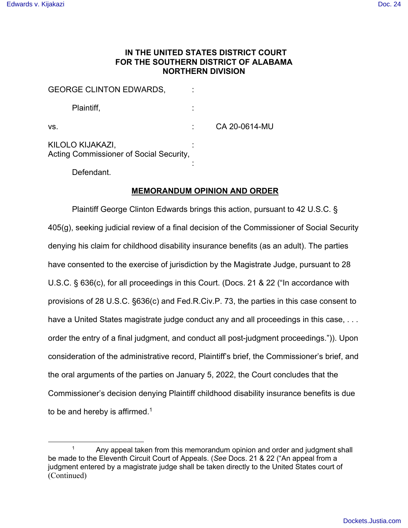## **IN THE UNITED STATES DISTRICT COURT FOR THE SOUTHERN DISTRICT OF ALABAMA NORTHERN DIVISION**

| <b>GEORGE CLINTON EDWARDS.</b>                              |               |
|-------------------------------------------------------------|---------------|
| Plaintiff,                                                  |               |
| VS.                                                         | CA 20-0614-MU |
| KILOLO KIJAKAZI,<br>Acting Commissioner of Social Security, |               |

Defendant.

### **MEMORANDUM OPINION AND ORDER**

Plaintiff George Clinton Edwards brings this action, pursuant to 42 U.S.C. § 405(g), seeking judicial review of a final decision of the Commissioner of Social Security denying his claim for childhood disability insurance benefits (as an adult). The parties have consented to the exercise of jurisdiction by the Magistrate Judge, pursuant to 28 U.S.C. § 636(c), for all proceedings in this Court. (Docs. 21 & 22 ("In accordance with provisions of 28 U.S.C. §636(c) and Fed.R.Civ.P. 73, the parties in this case consent to have a United States magistrate judge conduct any and all proceedings in this case, ... order the entry of a final judgment, and conduct all post-judgment proceedings.")). Upon consideration of the administrative record, Plaintiff's brief, the Commissioner's brief, and the oral arguments of the parties on January 5, 2022, the Court concludes that the Commissioner's decision denying Plaintiff childhood disability insurance benefits is due to be and hereby is affirmed. $1$ 

<sup>&</sup>lt;sup>1</sup> Any appeal taken from this memorandum opinion and order and judgment shall be made to the Eleventh Circuit Court of Appeals. (*See* Docs. 21 & 22 ("An appeal from a judgment entered by a magistrate judge shall be taken directly to the United States court of (Continued)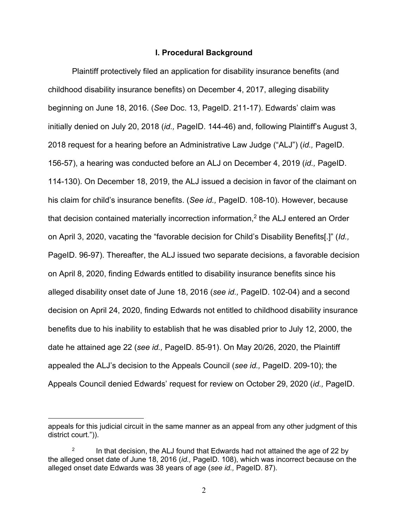#### **I. Procedural Background**

Plaintiff protectively filed an application for disability insurance benefits (and childhood disability insurance benefits) on December 4, 2017, alleging disability beginning on June 18, 2016. (*See* Doc. 13, PageID. 211-17). Edwards' claim was initially denied on July 20, 2018 (*id.,* PageID. 144-46) and, following Plaintiff's August 3, 2018 request for a hearing before an Administrative Law Judge ("ALJ") (*id.,* PageID. 156-57), a hearing was conducted before an ALJ on December 4, 2019 (*id.,* PageID. 114-130). On December 18, 2019, the ALJ issued a decision in favor of the claimant on his claim for child's insurance benefits. (*See id.,* PageID. 108-10). However, because that decision contained materially incorrection information,<sup>2</sup> the ALJ entered an Order on April 3, 2020, vacating the "favorable decision for Child's Disability Benefits[.]" (*Id.,*  PageID. 96-97). Thereafter, the ALJ issued two separate decisions, a favorable decision on April 8, 2020, finding Edwards entitled to disability insurance benefits since his alleged disability onset date of June 18, 2016 (*see id.,* PageID. 102-04) and a second decision on April 24, 2020, finding Edwards not entitled to childhood disability insurance benefits due to his inability to establish that he was disabled prior to July 12, 2000, the date he attained age 22 (*see id.,* PageID. 85-91). On May 20/26, 2020, the Plaintiff appealed the ALJ's decision to the Appeals Council (*see id.,* PageID. 209-10); the Appeals Council denied Edwards' request for review on October 29, 2020 (*id.,* PageID.

appeals for this judicial circuit in the same manner as an appeal from any other judgment of this district court.")).

<sup>&</sup>lt;sup>2</sup> In that decision, the ALJ found that Edwards had not attained the age of 22 by the alleged onset date of June 18, 2016 (*id.,* PageID. 108), which was incorrect because on the alleged onset date Edwards was 38 years of age (*see id.,* PageID. 87).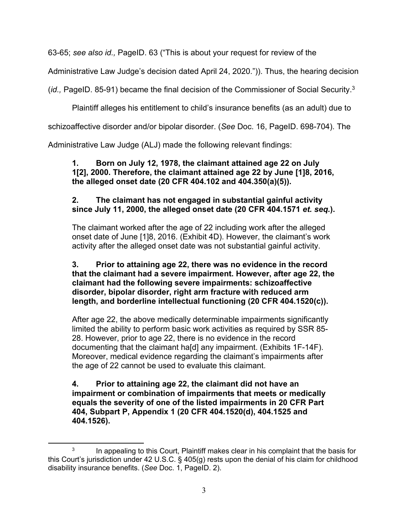63-65; *see also id.,* PageID. 63 ("This is about your request for review of the

Administrative Law Judge's decision dated April 24, 2020.")). Thus, the hearing decision

(*id.*, PageID. 85-91) became the final decision of the Commissioner of Social Security.<sup>3</sup>

Plaintiff alleges his entitlement to child's insurance benefits (as an adult) due to

schizoaffective disorder and/or bipolar disorder. (*See* Doc. 16, PageID. 698-704). The

Administrative Law Judge (ALJ) made the following relevant findings:

## **1. Born on July 12, 1978, the claimant attained age 22 on July 1[2], 2000. Therefore, the claimant attained age 22 by June [1]8, 2016, the alleged onset date (20 CFR 404.102 and 404.350(a)(5)).**

# **2. The claimant has not engaged in substantial gainful activity since July 11, 2000, the alleged onset date (20 CFR 404.1571** *et. seq.***).**

The claimant worked after the age of 22 including work after the alleged onset date of June [1]8, 2016. (Exhibit 4D). However, the claimant's work activity after the alleged onset date was not substantial gainful activity.

## **3. Prior to attaining age 22, there was no evidence in the record that the claimant had a severe impairment. However, after age 22, the claimant had the following severe impairments: schizoaffective disorder, bipolar disorder, right arm fracture with reduced arm length, and borderline intellectual functioning (20 CFR 404.1520(c)).**

After age 22, the above medically determinable impairments significantly limited the ability to perform basic work activities as required by SSR 85- 28. However, prior to age 22, there is no evidence in the record documenting that the claimant ha[d] any impairment. (Exhibits 1F-14F). Moreover, medical evidence regarding the claimant's impairments after the age of 22 cannot be used to evaluate this claimant.

**4. Prior to attaining age 22, the claimant did not have an impairment or combination of impairments that meets or medically equals the severity of one of the listed impairments in 20 CFR Part 404, Subpart P, Appendix 1 (20 CFR 404.1520(d), 404.1525 and 404.1526).**

 $3$  In appealing to this Court, Plaintiff makes clear in his complaint that the basis for this Court's jurisdiction under 42 U.S.C. § 405(g) rests upon the denial of his claim for childhood disability insurance benefits. (*See* Doc. 1, PageID. 2).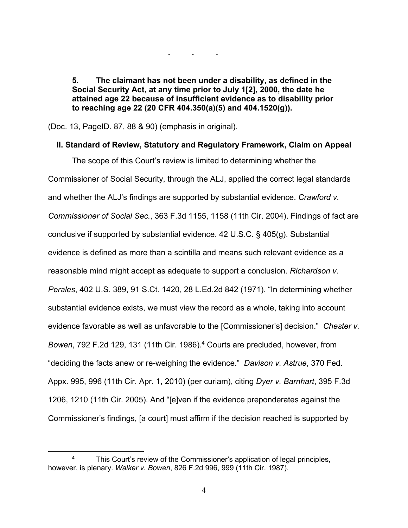**5. The claimant has not been under a disability, as defined in the Social Security Act, at any time prior to July 1[2], 2000, the date he attained age 22 because of insufficient evidence as to disability prior to reaching age 22 (20 CFR 404.350(a)(5) and 404.1520(g)).**

**. . .**

(Doc. 13, PageID. 87, 88 & 90) (emphasis in original).

### **II. Standard of Review, Statutory and Regulatory Framework, Claim on Appeal**

The scope of this Court's review is limited to determining whether the Commissioner of Social Security, through the ALJ, applied the correct legal standards and whether the ALJ's findings are supported by substantial evidence. *Crawford v. Commissioner of Social Sec.*, 363 F.3d 1155, 1158 (11th Cir. 2004). Findings of fact are conclusive if supported by substantial evidence. 42 U.S.C. § 405(g). Substantial evidence is defined as more than a scintilla and means such relevant evidence as a reasonable mind might accept as adequate to support a conclusion. *Richardson v. Perales*, 402 U.S. 389, 91 S.Ct. 1420, 28 L.Ed.2d 842 (1971). "In determining whether substantial evidence exists, we must view the record as a whole, taking into account evidence favorable as well as unfavorable to the [Commissioner's] decision." *Chester v. Bowen*, 792 F.2d 129, 131 (11th Cir. 1986).4 Courts are precluded, however, from "deciding the facts anew or re-weighing the evidence." *Davison v. Astrue*, 370 Fed. Appx. 995, 996 (11th Cir. Apr. 1, 2010) (per curiam), citing *Dyer v. Barnhart*, 395 F.3d 1206, 1210 (11th Cir. 2005). And "[e]ven if the evidence preponderates against the Commissioner's findings, [a court] must affirm if the decision reached is supported by

This Court's review of the Commissioner's application of legal principles, however, is plenary. *Walker v. Bowen*, 826 F.2d 996, 999 (11th Cir. 1987).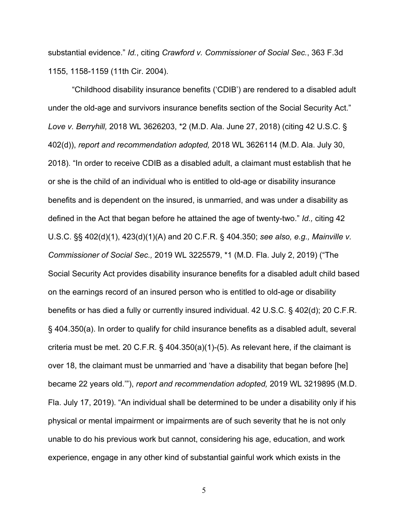substantial evidence." *Id.*, citing *Crawford v. Commissioner of Social Sec.*, 363 F.3d 1155, 1158-1159 (11th Cir. 2004).

"Childhood disability insurance benefits ('CDIB') are rendered to a disabled adult under the old-age and survivors insurance benefits section of the Social Security Act." *Love v. Berryhill,* 2018 WL 3626203, \*2 (M.D. Ala. June 27, 2018) (citing 42 U.S.C. § 402(d)), *report and recommendation adopted,* 2018 WL 3626114 (M.D. Ala. July 30, 2018). "In order to receive CDIB as a disabled adult, a claimant must establish that he or she is the child of an individual who is entitled to old-age or disability insurance benefits and is dependent on the insured, is unmarried, and was under a disability as defined in the Act that began before he attained the age of twenty-two." *Id.,* citing 42 U.S.C. §§ 402(d)(1), 423(d)(1)(A) and 20 C.F.R. § 404.350; *see also, e.g., Mainville v. Commissioner of Social Sec.,* 2019 WL 3225579, \*1 (M.D. Fla. July 2, 2019) ("The Social Security Act provides disability insurance benefits for a disabled adult child based on the earnings record of an insured person who is entitled to old-age or disability benefits or has died a fully or currently insured individual. 42 U.S.C. § 402(d); 20 C.F.R. § 404.350(a). In order to qualify for child insurance benefits as a disabled adult, several criteria must be met. 20 C.F.R. § 404.350(a)(1)-(5). As relevant here, if the claimant is over 18, the claimant must be unmarried and 'have a disability that began before [he] became 22 years old.'"), *report and recommendation adopted,* 2019 WL 3219895 (M.D. Fla. July 17, 2019). "An individual shall be determined to be under a disability only if his physical or mental impairment or impairments are of such severity that he is not only unable to do his previous work but cannot, considering his age, education, and work experience, engage in any other kind of substantial gainful work which exists in the

5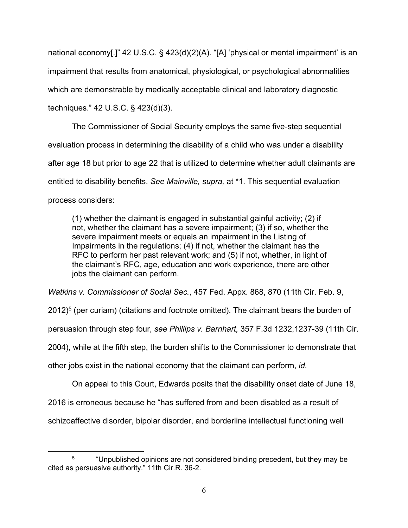national economy[.]" 42 U.S.C. § 423(d)(2)(A). "[A] 'physical or mental impairment' is an impairment that results from anatomical, physiological, or psychological abnormalities which are demonstrable by medically acceptable clinical and laboratory diagnostic techniques." 42 U.S.C. § 423(d)(3).

The Commissioner of Social Security employs the same five-step sequential evaluation process in determining the disability of a child who was under a disability after age 18 but prior to age 22 that is utilized to determine whether adult claimants are entitled to disability benefits. *See Mainville, supra,* at \*1. This sequential evaluation process considers:

(1) whether the claimant is engaged in substantial gainful activity; (2) if not, whether the claimant has a severe impairment; (3) if so, whether the severe impairment meets or equals an impairment in the Listing of Impairments in the regulations; (4) if not, whether the claimant has the RFC to perform her past relevant work; and (5) if not, whether, in light of the claimant's RFC, age, education and work experience, there are other jobs the claimant can perform.

*Watkins v. Commissioner of Social Sec.*, 457 Fed. Appx. 868, 870 (11th Cir. Feb. 9,

 $2012$ <sup>5</sup> (per curiam) (citations and footnote omitted). The claimant bears the burden of

persuasion through step four, *see Phillips v. Barnhart,* 357 F.3d 1232,1237-39 (11th Cir.

2004), while at the fifth step, the burden shifts to the Commissioner to demonstrate that

other jobs exist in the national economy that the claimant can perform, *id.*

On appeal to this Court, Edwards posits that the disability onset date of June 18,

2016 is erroneous because he "has suffered from and been disabled as a result of

schizoaffective disorder, bipolar disorder, and borderline intellectual functioning well

 $5$  "Unpublished opinions are not considered binding precedent, but they may be cited as persuasive authority." 11th Cir.R. 36-2.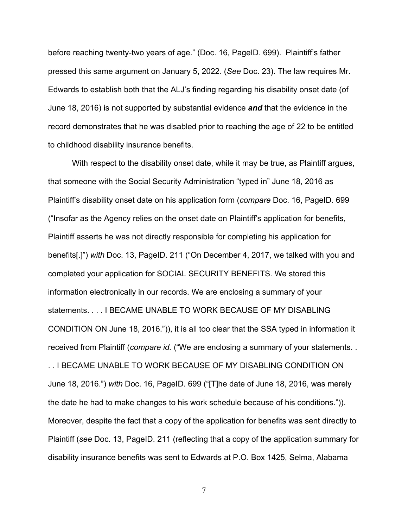before reaching twenty-two years of age." (Doc. 16, PageID. 699). Plaintiff's father pressed this same argument on January 5, 2022. (*See* Doc. 23). The law requires Mr. Edwards to establish both that the ALJ's finding regarding his disability onset date (of June 18, 2016) is not supported by substantial evidence *and* that the evidence in the record demonstrates that he was disabled prior to reaching the age of 22 to be entitled to childhood disability insurance benefits.

With respect to the disability onset date, while it may be true, as Plaintiff argues, that someone with the Social Security Administration "typed in" June 18, 2016 as Plaintiff's disability onset date on his application form (*compare* Doc. 16, PageID. 699 ("Insofar as the Agency relies on the onset date on Plaintiff's application for benefits, Plaintiff asserts he was not directly responsible for completing his application for benefits[.]") *with* Doc. 13, PageID. 211 ("On December 4, 2017, we talked with you and completed your application for SOCIAL SECURITY BENEFITS. We stored this information electronically in our records. We are enclosing a summary of your statements. . . . I BECAME UNABLE TO WORK BECAUSE OF MY DISABLING CONDITION ON June 18, 2016.")), it is all too clear that the SSA typed in information it received from Plaintiff (*compare id.* ("We are enclosing a summary of your statements. . . . I BECAME UNABLE TO WORK BECAUSE OF MY DISABLING CONDITION ON June 18, 2016.") *with* Doc. 16, PageID. 699 ("[T]he date of June 18, 2016, was merely the date he had to make changes to his work schedule because of his conditions.")). Moreover, despite the fact that a copy of the application for benefits was sent directly to Plaintiff (*see* Doc. 13, PageID. 211 (reflecting that a copy of the application summary for disability insurance benefits was sent to Edwards at P.O. Box 1425, Selma, Alabama

7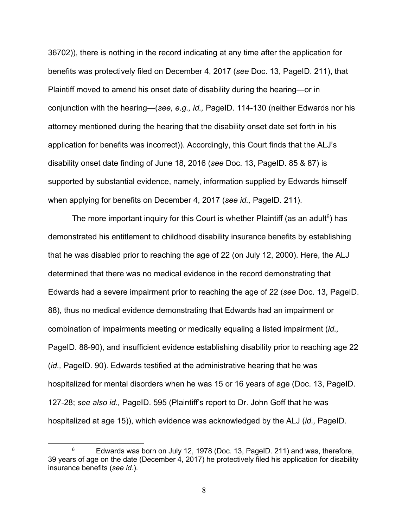36702)), there is nothing in the record indicating at any time after the application for benefits was protectively filed on December 4, 2017 (*see* Doc. 13, PageID. 211), that Plaintiff moved to amend his onset date of disability during the hearing—or in conjunction with the hearing—(*see, e.g., id.,* PageID. 114-130 (neither Edwards nor his attorney mentioned during the hearing that the disability onset date set forth in his application for benefits was incorrect)). Accordingly, this Court finds that the ALJ's disability onset date finding of June 18, 2016 (*see* Doc. 13, PageID. 85 & 87) is supported by substantial evidence, namely, information supplied by Edwards himself when applying for benefits on December 4, 2017 (*see id.,* PageID. 211).

The more important inquiry for this Court is whether Plaintiff (as an adult<sup>6</sup>) has demonstrated his entitlement to childhood disability insurance benefits by establishing that he was disabled prior to reaching the age of 22 (on July 12, 2000). Here, the ALJ determined that there was no medical evidence in the record demonstrating that Edwards had a severe impairment prior to reaching the age of 22 (*see* Doc. 13, PageID. 88), thus no medical evidence demonstrating that Edwards had an impairment or combination of impairments meeting or medically equaling a listed impairment (*id.,*  PageID. 88-90), and insufficient evidence establishing disability prior to reaching age 22 (*id.,* PageID. 90). Edwards testified at the administrative hearing that he was hospitalized for mental disorders when he was 15 or 16 years of age (Doc. 13, PageID. 127-28; *see also id.,* PageID. 595 (Plaintiff's report to Dr. John Goff that he was hospitalized at age 15)), which evidence was acknowledged by the ALJ (*id.,* PageID.

Edwards was born on July 12, 1978 (Doc. 13, PageID. 211) and was, therefore, 39 years of age on the date (December 4, 2017) he protectively filed his application for disability insurance benefits (*see id.*).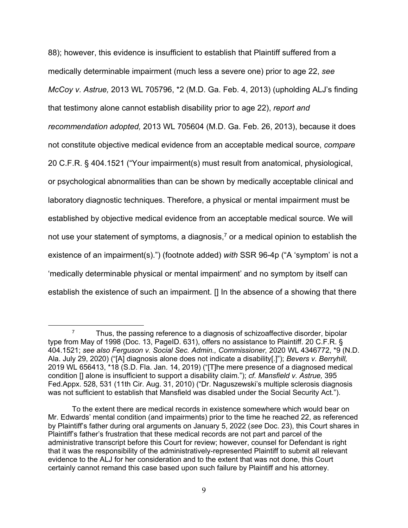88); however, this evidence is insufficient to establish that Plaintiff suffered from a medically determinable impairment (much less a severe one) prior to age 22, *see McCoy v. Astrue,* 2013 WL 705796, \*2 (M.D. Ga. Feb. 4, 2013) (upholding ALJ's finding that testimony alone cannot establish disability prior to age 22), *report and recommendation adopted,* 2013 WL 705604 (M.D. Ga. Feb. 26, 2013), because it does not constitute objective medical evidence from an acceptable medical source, *compare*  20 C.F.R. § 404.1521 ("Your impairment(s) must result from anatomical, physiological, or psychological abnormalities than can be shown by medically acceptable clinical and laboratory diagnostic techniques. Therefore, a physical or mental impairment must be established by objective medical evidence from an acceptable medical source. We will not use your statement of symptoms, a diagnosis,<sup> $7$ </sup> or a medical opinion to establish the existence of an impairment(s).") (footnote added) *with* SSR 96-4p ("A 'symptom' is not a 'medically determinable physical or mental impairment' and no symptom by itself can establish the existence of such an impairment. [] In the absence of a showing that there

 $7$  Thus, the passing reference to a diagnosis of schizoaffective disorder, bipolar type from May of 1998 (Doc. 13, PageID. 631), offers no assistance to Plaintiff. 20 C.F.R. § 404.1521; *see also Ferguson v. Social Sec. Admin., Commissioner,* 2020 WL 4346772, \*9 (N.D. Ala. July 29, 2020) ("[A] diagnosis alone does not indicate a disability[.]"); *Bevers v. Berryhill,*  2019 WL 656413, \*18 (S.D. Fla. Jan. 14, 2019) ("[T]he mere presence of a diagnosed medical condition [] alone is insufficient to support a disability claim."); *cf. Mansfield v. Astrue,* 395 Fed.Appx. 528, 531 (11th Cir. Aug. 31, 2010) ("Dr. Naguszewski's multiple sclerosis diagnosis was not sufficient to establish that Mansfield was disabled under the Social Security Act.").

To the extent there are medical records in existence somewhere which would bear on Mr. Edwards' mental condition (and impairments) prior to the time he reached 22, as referenced by Plaintiff's father during oral arguments on January 5, 2022 (*see* Doc. 23), this Court shares in Plaintiff's father's frustration that these medical records are not part and parcel of the administrative transcript before this Court for review; however, counsel for Defendant is right that it was the responsibility of the administratively-represented Plaintiff to submit all relevant evidence to the ALJ for her consideration and to the extent that was not done, this Court certainly cannot remand this case based upon such failure by Plaintiff and his attorney.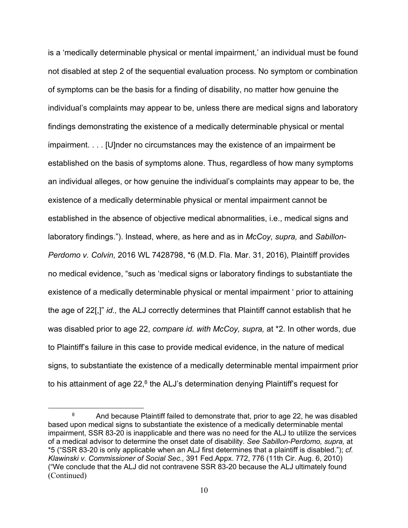is a 'medically determinable physical or mental impairment,' an individual must be found not disabled at step 2 of the sequential evaluation process. No symptom or combination of symptoms can be the basis for a finding of disability, no matter how genuine the individual's complaints may appear to be, unless there are medical signs and laboratory findings demonstrating the existence of a medically determinable physical or mental impairment. . . . [U]nder no circumstances may the existence of an impairment be established on the basis of symptoms alone. Thus, regardless of how many symptoms an individual alleges, or how genuine the individual's complaints may appear to be, the existence of a medically determinable physical or mental impairment cannot be established in the absence of objective medical abnormalities, i.e., medical signs and laboratory findings."). Instead, where, as here and as in *McCoy, supra,* and *Sabillon-Perdomo v. Colvin,* 2016 WL 7428798, \*6 (M.D. Fla. Mar. 31, 2016), Plaintiff provides no medical evidence, "such as 'medical signs or laboratory findings to substantiate the existence of a medically determinable physical or mental impairment ' prior to attaining the age of 22[,]" *id.,* the ALJ correctly determines that Plaintiff cannot establish that he was disabled prior to age 22, *compare id. with McCoy, supra,* at \*2. In other words, due to Plaintiff's failure in this case to provide medical evidence, in the nature of medical signs, to substantiate the existence of a medically determinable mental impairment prior to his attainment of age 22,<sup>8</sup> the ALJ's determination denying Plaintiff's request for

<sup>&</sup>lt;sup>8</sup> And because Plaintiff failed to demonstrate that, prior to age 22, he was disabled based upon medical signs to substantiate the existence of a medically determinable mental impairment, SSR 83-20 is inapplicable and there was no need for the ALJ to utilize the services of a medical advisor to determine the onset date of disability. *See Sabillon-Perdomo, supra,* at \*5 ("SSR 83-20 is only applicable when an ALJ first determines that a plaintiff is disabled."); *cf. Klawinski v. Commissioner of Social Sec.,* 391 Fed.Appx. 772, 776 (11th Cir. Aug. 6, 2010) ("We conclude that the ALJ did not contravene SSR 83-20 because the ALJ ultimately found (Continued)